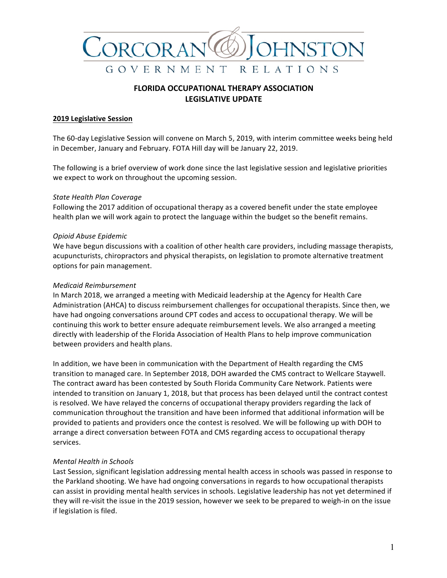

# **FLORIDA OCCUPATIONAL THERAPY ASSOCIATION** LEGISLATIVE UPDATE

#### **2019 Legislative Session**

The 60-day Legislative Session will convene on March 5, 2019, with interim committee weeks being held in December, January and February. FOTA Hill day will be January 22, 2019.

The following is a brief overview of work done since the last legislative session and legislative priorities we expect to work on throughout the upcoming session.

#### *State Health Plan Coverage*

Following the 2017 addition of occupational therapy as a covered benefit under the state employee health plan we will work again to protect the language within the budget so the benefit remains.

#### *Opioid Abuse Epidemic*

We have begun discussions with a coalition of other health care providers, including massage therapists, acupuncturists, chiropractors and physical therapists, on legislation to promote alternative treatment options for pain management.

#### *Medicaid Reimbursement*

In March 2018, we arranged a meeting with Medicaid leadership at the Agency for Health Care Administration (AHCA) to discuss reimbursement challenges for occupational therapists. Since then, we have had ongoing conversations around CPT codes and access to occupational therapy. We will be continuing this work to better ensure adequate reimbursement levels. We also arranged a meeting directly with leadership of the Florida Association of Health Plans to help improve communication between providers and health plans.

In addition, we have been in communication with the Department of Health regarding the CMS transition to managed care. In September 2018, DOH awarded the CMS contract to Wellcare Staywell. The contract award has been contested by South Florida Community Care Network. Patients were intended to transition on January 1, 2018, but that process has been delayed until the contract contest is resolved. We have relayed the concerns of occupational therapy providers regarding the lack of communication throughout the transition and have been informed that additional information will be provided to patients and providers once the contest is resolved. We will be following up with DOH to arrange a direct conversation between FOTA and CMS regarding access to occupational therapy services.

#### *Mental Health in Schools*

Last Session, significant legislation addressing mental health access in schools was passed in response to the Parkland shooting. We have had ongoing conversations in regards to how occupational therapists can assist in providing mental health services in schools. Legislative leadership has not yet determined if they will re-visit the issue in the 2019 session, however we seek to be prepared to weigh-in on the issue if legislation is filed.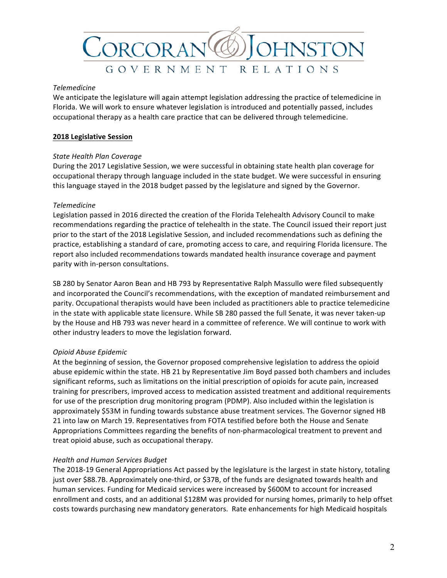

#### *Telemedicine*

We anticipate the legislature will again attempt legislation addressing the practice of telemedicine in Florida. We will work to ensure whatever legislation is introduced and potentially passed, includes occupational therapy as a health care practice that can be delivered through telemedicine.

## **2018 Legislative Session**

## *State Health Plan Coverage*

During the 2017 Legislative Session, we were successful in obtaining state health plan coverage for occupational therapy through language included in the state budget. We were successful in ensuring this language stayed in the 2018 budget passed by the legislature and signed by the Governor.

#### *Telemedicine*

Legislation passed in 2016 directed the creation of the Florida Telehealth Advisory Council to make recommendations regarding the practice of telehealth in the state. The Council issued their report just prior to the start of the 2018 Legislative Session, and included recommendations such as defining the practice, establishing a standard of care, promoting access to care, and requiring Florida licensure. The report also included recommendations towards mandated health insurance coverage and payment parity with in-person consultations.

SB 280 by Senator Aaron Bean and HB 793 by Representative Ralph Massullo were filed subsequently and incorporated the Council's recommendations, with the exception of mandated reimbursement and parity. Occupational therapists would have been included as practitioners able to practice telemedicine in the state with applicable state licensure. While SB 280 passed the full Senate, it was never taken-up by the House and HB 793 was never heard in a committee of reference. We will continue to work with other industry leaders to move the legislation forward.

## *Opioid Abuse Epidemic*

At the beginning of session, the Governor proposed comprehensive legislation to address the opioid abuse epidemic within the state. HB 21 by Representative Jim Boyd passed both chambers and includes significant reforms, such as limitations on the initial prescription of opioids for acute pain, increased training for prescribers, improved access to medication assisted treatment and additional requirements for use of the prescription drug monitoring program (PDMP). Also included within the legislation is approximately \$53M in funding towards substance abuse treatment services. The Governor signed HB 21 into law on March 19. Representatives from FOTA testified before both the House and Senate Appropriations Committees regarding the benefits of non-pharmacological treatment to prevent and treat opioid abuse, such as occupational therapy.

## *Health and Human Services Budget*

The 2018-19 General Appropriations Act passed by the legislature is the largest in state history, totaling just over \$88.7B. Approximately one-third, or \$37B, of the funds are designated towards health and human services. Funding for Medicaid services were increased by \$600M to account for increased enrollment and costs, and an additional \$128M was provided for nursing homes, primarily to help offset costs towards purchasing new mandatory generators. Rate enhancements for high Medicaid hospitals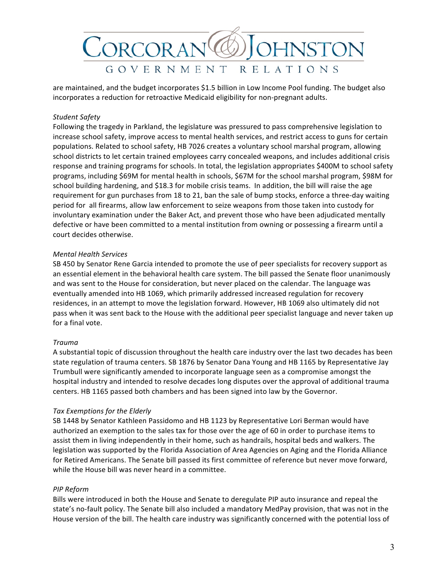

are maintained, and the budget incorporates \$1.5 billion in Low Income Pool funding. The budget also incorporates a reduction for retroactive Medicaid eligibility for non-pregnant adults.

#### *Student Safety*

Following the tragedy in Parkland, the legislature was pressured to pass comprehensive legislation to increase school safety, improve access to mental health services, and restrict access to guns for certain populations. Related to school safety, HB 7026 creates a voluntary school marshal program, allowing school districts to let certain trained employees carry concealed weapons, and includes additional crisis response and training programs for schools. In total, the legislation appropriates \$400M to school safety programs, including \$69M for mental health in schools, \$67M for the school marshal program, \$98M for school building hardening, and \$18.3 for mobile crisis teams. In addition, the bill will raise the age requirement for gun purchases from 18 to 21, ban the sale of bump stocks, enforce a three-day waiting period for all firearms, allow law enforcement to seize weapons from those taken into custody for involuntary examination under the Baker Act, and prevent those who have been adjudicated mentally defective or have been committed to a mental institution from owning or possessing a firearm until a court decides otherwise.

#### *Mental Health Services*

SB 450 by Senator Rene Garcia intended to promote the use of peer specialists for recovery support as an essential element in the behavioral health care system. The bill passed the Senate floor unanimously and was sent to the House for consideration, but never placed on the calendar. The language was eventually amended into HB 1069, which primarily addressed increased regulation for recovery residences, in an attempt to move the legislation forward. However, HB 1069 also ultimately did not pass when it was sent back to the House with the additional peer specialist language and never taken up for a final vote.

## *Trauma*

A substantial topic of discussion throughout the health care industry over the last two decades has been state regulation of trauma centers. SB 1876 by Senator Dana Young and HB 1165 by Representative Jay Trumbull were significantly amended to incorporate language seen as a compromise amongst the hospital industry and intended to resolve decades long disputes over the approval of additional trauma centers. HB 1165 passed both chambers and has been signed into law by the Governor.

## *Tax Exemptions for the Elderly*

SB 1448 by Senator Kathleen Passidomo and HB 1123 by Representative Lori Berman would have authorized an exemption to the sales tax for those over the age of 60 in order to purchase items to assist them in living independently in their home, such as handrails, hospital beds and walkers. The legislation was supported by the Florida Association of Area Agencies on Aging and the Florida Alliance for Retired Americans. The Senate bill passed its first committee of reference but never move forward, while the House bill was never heard in a committee.

## *PIP Reform*

Bills were introduced in both the House and Senate to deregulate PIP auto insurance and repeal the state's no-fault policy. The Senate bill also included a mandatory MedPay provision, that was not in the House version of the bill. The health care industry was significantly concerned with the potential loss of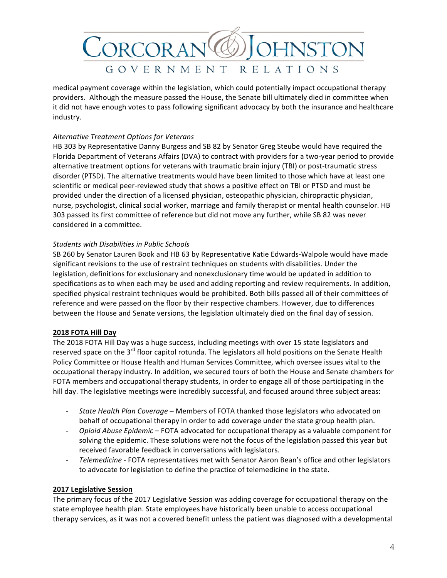

medical payment coverage within the legislation, which could potentially impact occupational therapy providers. Although the measure passed the House, the Senate bill ultimately died in committee when it did not have enough votes to pass following significant advocacy by both the insurance and healthcare industry.

# *Alternative Treatment Options for Veterans*

HB 303 by Representative Danny Burgess and SB 82 by Senator Greg Steube would have required the Florida Department of Veterans Affairs (DVA) to contract with providers for a two-year period to provide alternative treatment options for veterans with traumatic brain injury (TBI) or post-traumatic stress disorder (PTSD). The alternative treatments would have been limited to those which have at least one scientific or medical peer-reviewed study that shows a positive effect on TBI or PTSD and must be provided under the direction of a licensed physician, osteopathic physician, chiropractic physician, nurse, psychologist, clinical social worker, marriage and family therapist or mental health counselor. HB 303 passed its first committee of reference but did not move any further, while SB 82 was never considered in a committee.

## *Students with Disabilities in Public Schools*

SB 260 by Senator Lauren Book and HB 63 by Representative Katie Edwards-Walpole would have made significant revisions to the use of restraint techniques on students with disabilities. Under the legislation, definitions for exclusionary and nonexclusionary time would be updated in addition to specifications as to when each may be used and adding reporting and review requirements. In addition, specified physical restraint techniques would be prohibited. Both bills passed all of their committees of reference and were passed on the floor by their respective chambers. However, due to differences between the House and Senate versions, the legislation ultimately died on the final day of session.

## **2018 FOTA Hill Day**

The 2018 FOTA Hill Day was a huge success, including meetings with over 15 state legislators and reserved space on the 3<sup>rd</sup> floor capitol rotunda. The legislators all hold positions on the Senate Health Policy Committee or House Health and Human Services Committee, which oversee issues vital to the occupational therapy industry. In addition, we secured tours of both the House and Senate chambers for FOTA members and occupational therapy students, in order to engage all of those participating in the hill day. The legislative meetings were incredibly successful, and focused around three subject areas:

- *State Health Plan Coverage* Members of FOTA thanked those legislators who advocated on behalf of occupational therapy in order to add coverage under the state group health plan.
- Opioid Abuse Epidemic FOTA advocated for occupational therapy as a valuable component for solving the epidemic. These solutions were not the focus of the legislation passed this year but received favorable feedback in conversations with legislators.
- *Telemedicine* FOTA representatives met with Senator Aaron Bean's office and other legislators to advocate for legislation to define the practice of telemedicine in the state.

## **2017 Legislative Session**

The primary focus of the 2017 Legislative Session was adding coverage for occupational therapy on the state employee health plan. State employees have historically been unable to access occupational therapy services, as it was not a covered benefit unless the patient was diagnosed with a developmental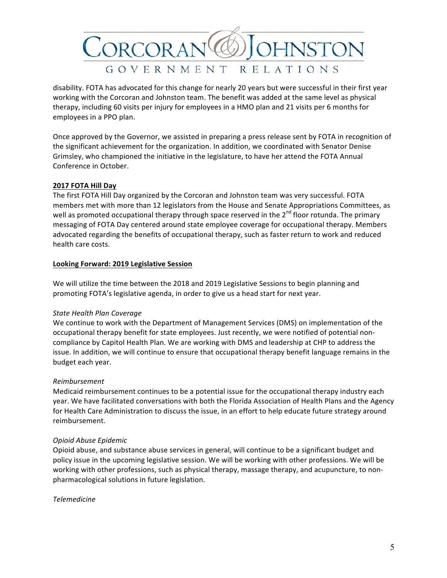

disability. FOTA has advocated for this change for nearly 20 years but were successful in their first year working with the Corcoran and Johnston team. The benefit was added at the same level as physical therapy, including 60 visits per injury for employees in a HMO plan and 21 visits per 6 months for employees in a PPO plan.

Once approved by the Governor, we assisted in preparing a press release sent by FOTA in recognition of the significant achievement for the organization. In addition, we coordinated with Senator Denise Grimsley, who championed the initiative in the legislature, to have her attend the FOTA Annual Conference in October.

# **2017 FOTA Hill Day**

The first FOTA Hill Day organized by the Corcoran and Johnston team was very successful. FOTA members met with more than 12 legislators from the House and Senate Appropriations Committees, as well as promoted occupational therapy through space reserved in the 2<sup>nd</sup> floor rotunda. The primary messaging of FOTA Day centered around state employee coverage for occupational therapy. Members advocated regarding the benefits of occupational therapy, such as faster return to work and reduced health care costs.

## **Looking Forward: 2019 Legislative Session**

We will utilize the time between the 2018 and 2019 Legislative Sessions to begin planning and promoting FOTA's legislative agenda, in order to give us a head start for next year.

## *State Health Plan Coverage*

We continue to work with the Department of Management Services (DMS) on implementation of the occupational therapy benefit for state employees. Just recently, we were notified of potential noncompliance by Capitol Health Plan. We are working with DMS and leadership at CHP to address the issue. In addition, we will continue to ensure that occupational therapy benefit language remains in the budget each year.

## *Reimbursement*

Medicaid reimbursement continues to be a potential issue for the occupational therapy industry each year. We have facilitated conversations with both the Florida Association of Health Plans and the Agency for Health Care Administration to discuss the issue, in an effort to help educate future strategy around reimbursement.

## *Opioid Abuse Epidemic*

Opioid abuse, and substance abuse services in general, will continue to be a significant budget and policy issue in the upcoming legislative session. We will be working with other professions. We will be working with other professions, such as physical therapy, massage therapy, and acupuncture, to nonpharmacological solutions in future legislation.

## *Telemedicine*